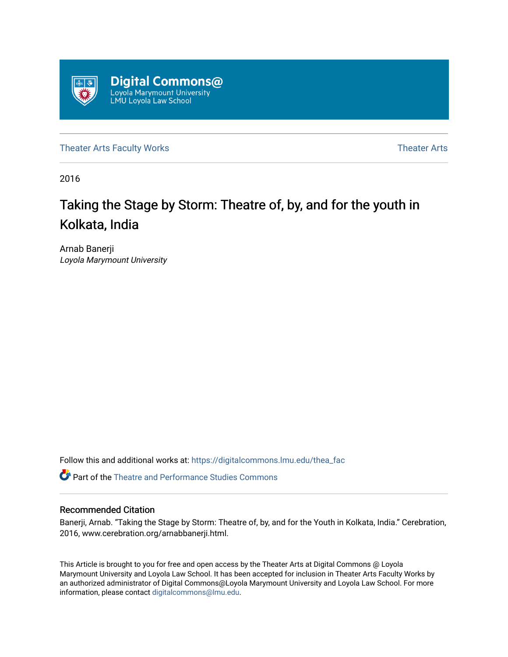

[Theater Arts Faculty Works](https://digitalcommons.lmu.edu/thea_fac) [Theater Arts](https://digitalcommons.lmu.edu/thea) Theater Arts

2016

# Taking the Stage by Storm: Theatre of, by, and for the youth in Kolkata, India

Arnab Banerji Loyola Marymount University

Follow this and additional works at: [https://digitalcommons.lmu.edu/thea\\_fac](https://digitalcommons.lmu.edu/thea_fac?utm_source=digitalcommons.lmu.edu%2Fthea_fac%2F4&utm_medium=PDF&utm_campaign=PDFCoverPages) 

**C** Part of the Theatre and Performance Studies Commons

#### Recommended Citation

Banerji, Arnab. "Taking the Stage by Storm: Theatre of, by, and for the Youth in Kolkata, India." Cerebration, 2016, www.cerebration.org/arnabbanerji.html.

This Article is brought to you for free and open access by the Theater Arts at Digital Commons @ Loyola Marymount University and Loyola Law School. It has been accepted for inclusion in Theater Arts Faculty Works by an authorized administrator of Digital Commons@Loyola Marymount University and Loyola Law School. For more information, please contact [digitalcommons@lmu.edu.](mailto:digitalcommons@lmu.edu)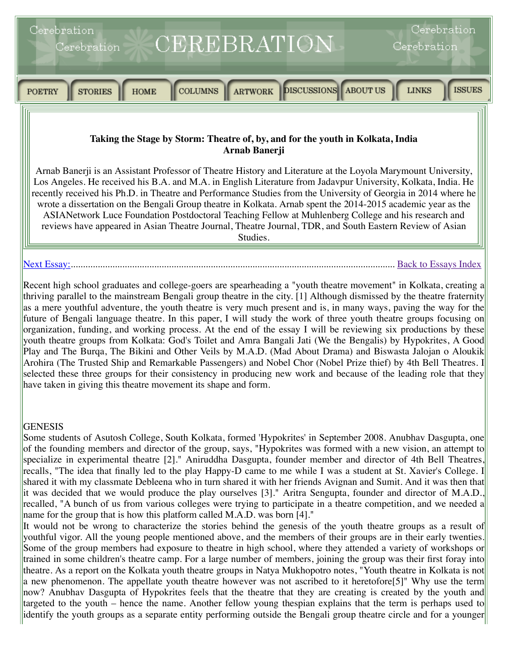

thriving parallel to the mainstream Bengali group theatre in the city. [1] Although dismissed by the theatre fraternity as a mere youthful adventure, the youth theatre is very much present and is, in many ways, paving the way for the future of Bengali language theatre. In this paper, I will study the work of three youth theatre groups focusing on organization, funding, and working process. At the end of the essay I will be reviewing six productions by these youth theatre groups from Kolkata: God's Toilet and Amra Bangali Jati (We the Bengalis) by Hypokrites, A Good Play and The Burqa, The Bikini and Other Veils by M.A.D. (Mad About Drama) and Biswasta Jalojan o Aloukik Arohira (The Trusted Ship and Remarkable Passengers) and Nobel Chor (Nobel Prize thief) by 4th Bell Theatres. I selected these three groups for their consistency in producing new work and because of the leading role that they have taken in giving this theatre movement its shape and form.

#### **GENESIS**

Some students of Asutosh College, South Kolkata, formed 'Hypokrites' in September 2008. Anubhav Dasgupta, one of the founding members and director of the group, says, "Hypokrites was formed with a new vision, an attempt to specialize in experimental theatre [2]." Aniruddha Dasgupta, founder member and director of 4th Bell Theatres, recalls, "The idea that finally led to the play Happy-D came to me while I was a student at St. Xavier's College. I shared it with my classmate Debleena who in turn shared it with her friends Avignan and Sumit. And it was then that it was decided that we would produce the play ourselves [3]." Aritra Sengupta, founder and director of M.A.D., recalled, "A bunch of us from various colleges were trying to participate in a theatre competition, and we needed a name for the group that is how this platform called M.A.D. was born [4]."

It would not be wrong to characterize the stories behind the genesis of the youth theatre groups as a result of youthful vigor. All the young people mentioned above, and the members of their groups are in their early twenties. Some of the group members had exposure to theatre in high school, where they attended a variety of workshops or trained in some children's theatre camp. For a large number of members, joining the group was their first foray into theatre. As a report on the Kolkata youth theatre groups in Natya Mukhopotro notes, "Youth theatre in Kolkata is not a new phenomenon. The appellate youth theatre however was not ascribed to it heretofore[5]" Why use the term now? Anubhav Dasgupta of Hypokrites feels that the theatre that they are creating is created by the youth and targeted to the youth – hence the name. Another fellow young thespian explains that the term is perhaps used to identify the youth groups as a separate entity performing outside the Bengali group theatre circle and for a younger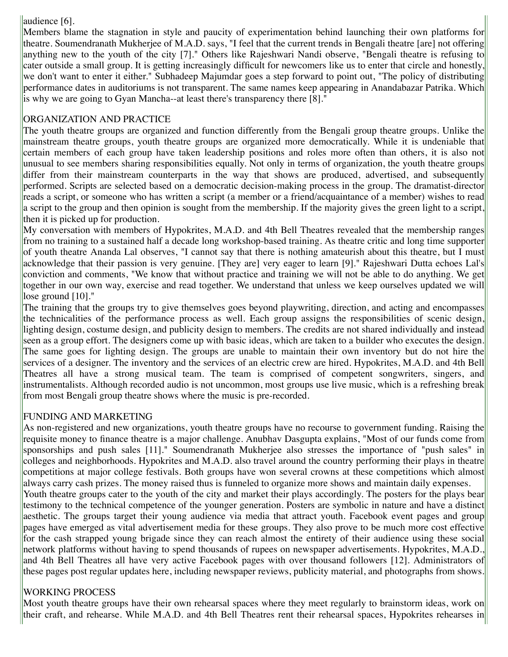## audience [6].

Members blame the stagnation in style and paucity of experimentation behind launching their own platforms for theatre. Soumendranath Mukherjee of M.A.D. says, "I feel that the current trends in Bengali theatre [are] not offering anything new to the youth of the city [7]." Others like Rajeshwari Nandi observe, "Bengali theatre is refusing to cater outside a small group. It is getting increasingly difficult for newcomers like us to enter that circle and honestly, we don't want to enter it either." Subhadeep Majumdar goes a step forward to point out, "The policy of distributing performance dates in auditoriums is not transparent. The same names keep appearing in Anandabazar Patrika. Which is why we are going to Gyan Mancha--at least there's transparency there [8]."

# ORGANIZATION AND PRACTICE

The youth theatre groups are organized and function differently from the Bengali group theatre groups. Unlike the mainstream theatre groups, youth theatre groups are organized more democratically. While it is undeniable that certain members of each group have taken leadership positions and roles more often than others, it is also not unusual to see members sharing responsibilities equally. Not only in terms of organization, the youth theatre groups differ from their mainstream counterparts in the way that shows are produced, advertised, and subsequently performed. Scripts are selected based on a democratic decision-making process in the group. The dramatist-director reads a script, or someone who has written a script (a member or a friend/acquaintance of a member) wishes to read a script to the group and then opinion is sought from the membership. If the majority gives the green light to a script, then it is picked up for production.

My conversation with members of Hypokrites, M.A.D. and 4th Bell Theatres revealed that the membership ranges from no training to a sustained half a decade long workshop-based training. As theatre critic and long time supporter of youth theatre Ananda Lal observes, "I cannot say that there is nothing amateurish about this theatre, but I must acknowledge that their passion is very genuine. [They are] very eager to learn [9]." Rajeshwari Dutta echoes Lal's conviction and comments, "We know that without practice and training we will not be able to do anything. We get together in our own way, exercise and read together. We understand that unless we keep ourselves updated we will lose ground [10]."

The training that the groups try to give themselves goes beyond playwriting, direction, and acting and encompasses the technicalities of the performance process as well. Each group assigns the responsibilities of scenic design, lighting design, costume design, and publicity design to members. The credits are not shared individually and instead seen as a group effort. The designers come up with basic ideas, which are taken to a builder who executes the design. The same goes for lighting design. The groups are unable to maintain their own inventory but do not hire the services of a designer. The inventory and the services of an electric crew are hired. Hypokrites, M.A.D. and 4th Bell Theatres all have a strong musical team. The team is comprised of competent songwriters, singers, and instrumentalists. Although recorded audio is not uncommon, most groups use live music, which is a refreshing break from most Bengali group theatre shows where the music is pre-recorded.

## FUNDING AND MARKETING

As non-registered and new organizations, youth theatre groups have no recourse to government funding. Raising the requisite money to finance theatre is a major challenge. Anubhav Dasgupta explains, "Most of our funds come from sponsorships and push sales [11]." Soumendranath Mukherjee also stresses the importance of "push sales" in colleges and neighborhoods. Hypokrites and M.A.D. also travel around the country performing their plays in theatre competitions at major college festivals. Both groups have won several crowns at these competitions which almost always carry cash prizes. The money raised thus is funneled to organize more shows and maintain daily expenses. Youth theatre groups cater to the youth of the city and market their plays accordingly. The posters for the plays bear testimony to the technical competence of the younger generation. Posters are symbolic in nature and have a distinct aesthetic. The groups target their young audience via media that attract youth. Facebook event pages and group pages have emerged as vital advertisement media for these groups. They also prove to be much more cost effective for the cash strapped young brigade since they can reach almost the entirety of their audience using these social network platforms without having to spend thousands of rupees on newspaper advertisements. Hypokrites, M.A.D., and 4th Bell Theatres all have very active Facebook pages with over thousand followers [12]. Administrators of these pages post regular updates here, including newspaper reviews, publicity material, and photographs from shows.

## WORKING PROCESS

Most youth theatre groups have their own rehearsal spaces where they meet regularly to brainstorm ideas, work on their craft, and rehearse. While M.A.D. and 4th Bell Theatres rent their rehearsal spaces, Hypokrites rehearses in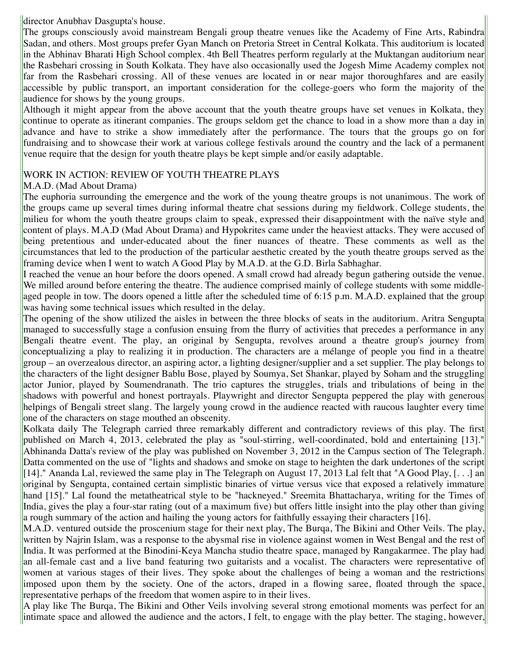director Anubhav Dasgupta's house.

The groups consciously avoid mainstream Bengali group theatre venues like the Academy of Fine Arts, Rabindra Sadan, and others. Most groups prefer Gyan Manch on Pretoria Street in Central Kolkata. This auditorium is located in the Abhinav Bharati High School complex. 4th Bell Theatres perform regularly at the Muktangan auditorium near the Rasbehari crossing in South Kolkata. They have also occasionally used the Jogesh Mime Academy complex not far from the Rasbehari crossing. All of these venues are located in or near major thoroughfares and are easily accessible by public transport, an important consideration for the college-goers who form the majority of the audience for shows by the young groups.

Although it might appear from the above account that the youth theatre groups have set venues in Kolkata, they continue to operate as itinerant companies. The groups seldom get the chance to load in a show more than a day in advance and have to strike a show immediately after the performance. The tours that the groups go on for fundraising and to showcase their work at various college festivals around the country and the lack of a permanent venue require that the design for youth theatre plays be kept simple and/or easily adaptable.

#### WORK IN ACTION: REVIEW OF YOUTH THEATRE PLAYS

#### M.A.D. (Mad About Drama)

The euphoria surrounding the emergence and the work of the young theatre groups is not unanimous. The work of the groups came up several times during informal theatre chat sessions during my fieldwork. College students, the milieu for whom the youth theatre groups claim to speak, expressed their disappointment with the naïve style and content of plays. M.A.D (Mad About Drama) and Hypokrites came under the heaviest attacks. They were accused of being pretentious and under-educated about the finer nuances of theatre. These comments as well as the circumstances that led to the production of the particular aesthetic created by the youth theatre groups served as the framing device when I went to watch A Good Play by M.A.D. at the G.D. Birla Sabhaghar.

I reached the venue an hour before the doors opened. A small crowd had already begun gathering outside the venue. We milled around before entering the theatre. The audience comprised mainly of college students with some middleaged people in tow. The doors opened a little after the scheduled time of 6:15 p.m. M.A.D. explained that the group was having some technical issues which resulted in the delay.

The opening of the show utilized the aisles in between the three blocks of seats in the auditorium. Aritra Sengupta managed to successfully stage a confusion ensuing from the flurry of activities that precedes a performance in any Bengali theatre event. The play, an original by Sengupta, revolves around a theatre group's journey from conceptualizing a play to realizing it in production. The characters are a mélange of people you find in a theatre group – an overzealous director, an aspiring actor, a lighting designer/supplier and a set supplier. The play belongs to the characters of the light designer Bablu Bose, played by Soumya, Set Shankar, played by Soham and the struggling actor Junior, played by Soumendranath. The trio captures the struggles, trials and tribulations of being in the shadows with powerful and honest portrayals. Playwright and director Sengupta peppered the play with generous helpings of Bengali street slang. The largely young crowd in the audience reacted with raucous laughter every time one of the characters on stage mouthed an obscenity.

Kolkata daily The Telegraph carried three remarkably different and contradictory reviews of this play. The first published on March 4, 2013, celebrated the play as "soul-stirring, well-coordinated, bold and entertaining [13]." Abhinanda Datta's review of the play was published on November 3, 2012 in the Campus section of The Telegraph. Datta commented on the use of "lights and shadows and smoke on stage to heighten the dark undertones of the script [14]." Ananda Lal, reviewed the same play in The Telegraph on August 17, 2013 Lal felt that "A Good Play,  $[\ldots]$  an original by Sengupta, contained certain simplistic binaries of virtue versus vice that exposed a relatively immature hand [15]." Lal found the metatheatrical style to be "hackneyed." Sreemita Bhattacharya, writing for the Times of India, gives the play a four-star rating (out of a maximum five) but offers little insight into the play other than giving a rough summary of the action and hailing the young actors for faithfully essaying their characters [16].

M.A.D. ventured outside the proscenium stage for their next play, The Burqa, The Bikini and Other Veils. The play, written by Najrin Islam, was a response to the abysmal rise in violence against women in West Bengal and the rest of India. It was performed at the Binodini-Keya Mancha studio theatre space, managed by Rangakarmee. The play had an all-female cast and a live band featuring two guitarists and a vocalist. The characters were representative of women at various stages of their lives. They spoke about the challenges of being a woman and the restrictions imposed upon them by the society. One of the actors, draped in a flowing saree, floated through the space, representative perhaps of the freedom that women aspire to in their lives.

A play like The Burqa, The Bikini and Other Veils involving several strong emotional moments was perfect for an  $\|$ intimate space and allowed the audience and the actors, I felt, to engage with the play better. The staging, however,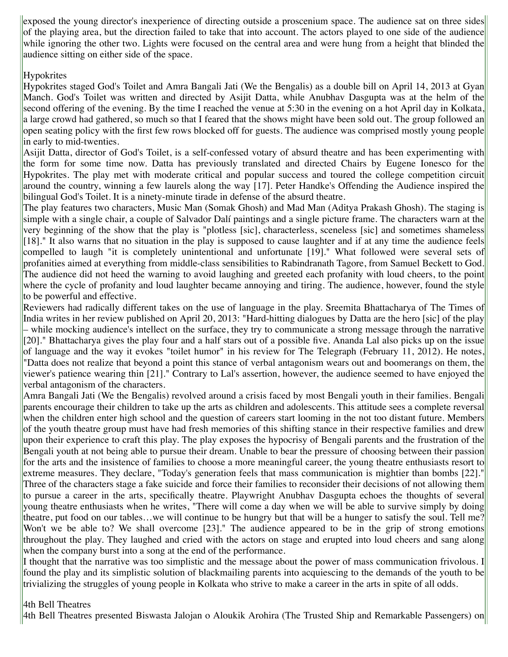exposed the young director's inexperience of directing outside a proscenium space. The audience sat on three sides of the playing area, but the direction failed to take that into account. The actors played to one side of the audience while ignoring the other two. Lights were focused on the central area and were hung from a height that blinded the audience sitting on either side of the space.

# Hypokrites

Hypokrites staged God's Toilet and Amra Bangali Jati (We the Bengalis) as a double bill on April 14, 2013 at Gyan Manch. God's Toilet was written and directed by Asijit Datta, while Anubhav Dasgupta was at the helm of the second offering of the evening. By the time I reached the venue at 5:30 in the evening on a hot April day in Kolkata, a large crowd had gathered, so much so that I feared that the shows might have been sold out. The group followed an open seating policy with the first few rows blocked off for guests. The audience was comprised mostly young people in early to mid-twenties.

Asijit Datta, director of God's Toilet, is a self-confessed votary of absurd theatre and has been experimenting with the form for some time now. Datta has previously translated and directed Chairs by Eugene Ionesco for the Hypokrites. The play met with moderate critical and popular success and toured the college competition circuit around the country, winning a few laurels along the way [17]. Peter Handke's Offending the Audience inspired the bilingual God's Toilet. It is a ninety-minute tirade in defense of the absurd theatre.

The play features two characters, Music Man (Somak Ghosh) and Mad Man (Aditya Prakash Ghosh). The staging is simple with a single chair, a couple of Salvador Dalí paintings and a single picture frame. The characters warn at the very beginning of the show that the play is "plotless [sic], characterless, sceneless [sic] and sometimes shameless  $[18]$ ." It also warns that no situation in the play is supposed to cause laughter and if at any time the audience feels compelled to laugh "it is completely unintentional and unfortunate [19]." What followed were several sets of profanities aimed at everything from middle-class sensibilities to Rabindranath Tagore, from Samuel Beckett to God. The audience did not heed the warning to avoid laughing and greeted each profanity with loud cheers, to the point where the cycle of profanity and loud laughter became annoying and tiring. The audience, however, found the style to be powerful and effective.

Reviewers had radically different takes on the use of language in the play. Sreemita Bhattacharya of The Times of India writes in her review published on April 20, 2013: "Hard-hitting dialogues by Datta are the hero [sic] of the play – while mocking audience's intellect on the surface, they try to communicate a strong message through the narrative [20]." Bhattacharya gives the play four and a half stars out of a possible five. Ananda Lal also picks up on the issue of language and the way it evokes "toilet humor" in his review for The Telegraph (February 11, 2012). He notes, "Datta does not realize that beyond a point this stance of verbal antagonism wears out and boomerangs on them, the viewer's patience wearing thin [21]." Contrary to Lal's assertion, however, the audience seemed to have enjoyed the verbal antagonism of the characters.

Amra Bangali Jati (We the Bengalis) revolved around a crisis faced by most Bengali youth in their families. Bengali parents encourage their children to take up the arts as children and adolescents. This attitude sees a complete reversal when the children enter high school and the question of careers start looming in the not too distant future. Members of the youth theatre group must have had fresh memories of this shifting stance in their respective families and drew upon their experience to craft this play. The play exposes the hypocrisy of Bengali parents and the frustration of the Bengali youth at not being able to pursue their dream. Unable to bear the pressure of choosing between their passion for the arts and the insistence of families to choose a more meaningful career, the young theatre enthusiasts resort to extreme measures. They declare, "Today's generation feels that mass communication is mightier than bombs [22]." Three of the characters stage a fake suicide and force their families to reconsider their decisions of not allowing them to pursue a career in the arts, specifically theatre. Playwright Anubhav Dasgupta echoes the thoughts of several young theatre enthusiasts when he writes, "There will come a day when we will be able to survive simply by doing theatre, put food on our tables…we will continue to be hungry but that will be a hunger to satisfy the soul. Tell me? Won't we be able to? We shall overcome [23]." The audience appeared to be in the grip of strong emotions throughout the play. They laughed and cried with the actors on stage and erupted into loud cheers and sang along when the company burst into a song at the end of the performance.

I thought that the narrative was too simplistic and the message about the power of mass communication frivolous. I found the play and its simplistic solution of blackmailing parents into acquiescing to the demands of the youth to be trivializing the struggles of young people in Kolkata who strive to make a career in the arts in spite of all odds.

## 4th Bell Theatres

4th Bell Theatres presented Biswasta Jalojan o Aloukik Arohira (The Trusted Ship and Remarkable Passengers) on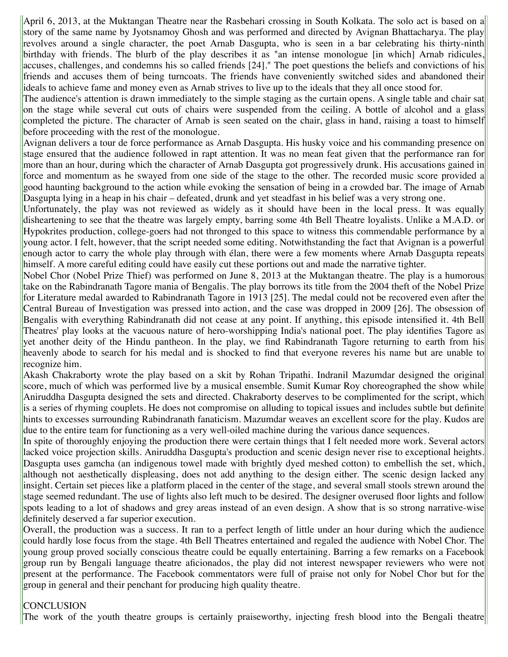April 6, 2013, at the Muktangan Theatre near the Rasbehari crossing in South Kolkata. The solo act is based on a story of the same name by Jyotsnamoy Ghosh and was performed and directed by Avignan Bhattacharya. The play revolves around a single character, the poet Arnab Dasgupta, who is seen in a bar celebrating his thirty-ninth birthday with friends. The blurb of the play describes it as "an intense monologue [in which] Arnab ridicules, accuses, challenges, and condemns his so called friends [24]." The poet questions the beliefs and convictions of his friends and accuses them of being turncoats. The friends have conveniently switched sides and abandoned their ideals to achieve fame and money even as Arnab strives to live up to the ideals that they all once stood for.

The audience's attention is drawn immediately to the simple staging as the curtain opens. A single table and chair sat on the stage while several cut outs of chairs were suspended from the ceiling. A bottle of alcohol and a glass completed the picture. The character of Arnab is seen seated on the chair, glass in hand, raising a toast to himself before proceeding with the rest of the monologue.

Avignan delivers a tour de force performance as Arnab Dasgupta. His husky voice and his commanding presence on stage ensured that the audience followed in rapt attention. It was no mean feat given that the performance ran for more than an hour, during which the character of Arnab Dasgupta got progressively drunk. His accusations gained in force and momentum as he swayed from one side of the stage to the other. The recorded music score provided a good haunting background to the action while evoking the sensation of being in a crowded bar. The image of Arnab Dasgupta lying in a heap in his chair – defeated, drunk and yet steadfast in his belief was a very strong one.

Unfortunately, the play was not reviewed as widely as it should have been in the local press. It was equally disheartening to see that the theatre was largely empty, barring some 4th Bell Theatre loyalists. Unlike a M.A.D. or Hypokrites production, college-goers had not thronged to this space to witness this commendable performance by a young actor. I felt, however, that the script needed some editing. Notwithstanding the fact that Avignan is a powerful enough actor to carry the whole play through with élan, there were a few moments where Arnab Dasgupta repeats himself. A more careful editing could have easily cut these portions out and made the narrative tighter.

Nobel Chor (Nobel Prize Thief) was performed on June 8, 2013 at the Muktangan theatre. The play is a humorous take on the Rabindranath Tagore mania of Bengalis. The play borrows its title from the 2004 theft of the Nobel Prize for Literature medal awarded to Rabindranath Tagore in 1913 [25]. The medal could not be recovered even after the Central Bureau of Investigation was pressed into action, and the case was dropped in 2009 [26]. The obsession of Bengalis with everything Rabindranath did not cease at any point. If anything, this episode intensified it. 4th Bell Theatres' play looks at the vacuous nature of hero-worshipping India's national poet. The play identifies Tagore as yet another deity of the Hindu pantheon. In the play, we find Rabindranath Tagore returning to earth from his heavenly abode to search for his medal and is shocked to find that everyone reveres his name but are unable to recognize him.

Akash Chakraborty wrote the play based on a skit by Rohan Tripathi. Indranil Mazumdar designed the original score, much of which was performed live by a musical ensemble. Sumit Kumar Roy choreographed the show while Aniruddha Dasgupta designed the sets and directed. Chakraborty deserves to be complimented for the script, which is a series of rhyming couplets. He does not compromise on alluding to topical issues and includes subtle but definite hints to excesses surrounding Rabindranath fanaticism. Mazumdar weaves an excellent score for the play. Kudos are due to the entire team for functioning as a very well-oiled machine during the various dance sequences.

In spite of thoroughly enjoying the production there were certain things that I felt needed more work. Several actors lacked voice projection skills. Aniruddha Dasgupta's production and scenic design never rise to exceptional heights. Dasgupta uses gamcha (an indigenous towel made with brightly dyed meshed cotton) to embellish the set, which, although not aesthetically displeasing, does not add anything to the design either. The scenic design lacked any insight. Certain set pieces like a platform placed in the center of the stage, and several small stools strewn around the stage seemed redundant. The use of lights also left much to be desired. The designer overused floor lights and follow spots leading to a lot of shadows and grey areas instead of an even design. A show that is so strong narrative-wise definitely deserved a far superior execution.

Overall, the production was a success. It ran to a perfect length of little under an hour during which the audience could hardly lose focus from the stage. 4th Bell Theatres entertained and regaled the audience with Nobel Chor. The young group proved socially conscious theatre could be equally entertaining. Barring a few remarks on a Facebook group run by Bengali language theatre aficionados, the play did not interest newspaper reviewers who were not present at the performance. The Facebook commentators were full of praise not only for Nobel Chor but for the group in general and their penchant for producing high quality theatre.

## **CONCLUSION**

The work of the youth theatre groups is certainly praiseworthy, injecting fresh blood into the Bengali theatre